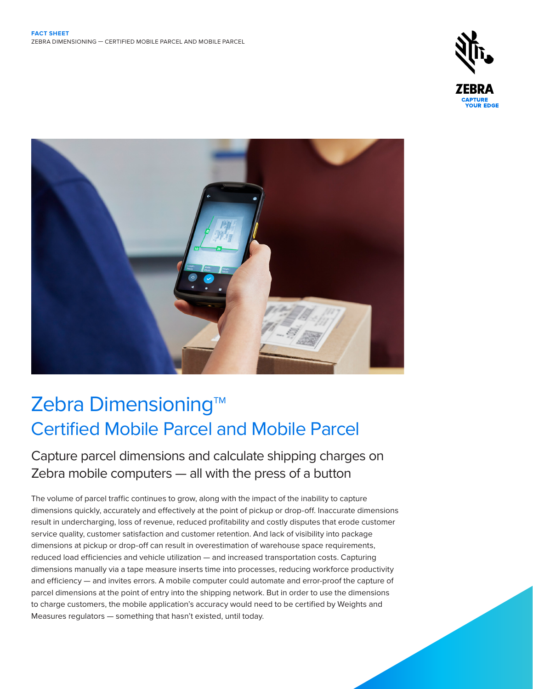



# Zebra Dimensioning™ Certified Mobile Parcel and Mobile Parcel

## Capture parcel dimensions and calculate shipping charges on Zebra mobile computers — all with the press of a button

The volume of parcel traffic continues to grow, along with the impact of the inability to capture dimensions quickly, accurately and effectively at the point of pickup or drop-off. Inaccurate dimensions result in undercharging, loss of revenue, reduced profitability and costly disputes that erode customer service quality, customer satisfaction and customer retention. And lack of visibility into package dimensions at pickup or drop-off can result in overestimation of warehouse space requirements, reduced load efficiencies and vehicle utilization — and increased transportation costs. Capturing dimensions manually via a tape measure inserts time into processes, reducing workforce productivity and efficiency — and invites errors. A mobile computer could automate and error-proof the capture of parcel dimensions at the point of entry into the shipping network. But in order to use the dimensions to charge customers, the mobile application's accuracy would need to be certified by Weights and Measures regulators — something that hasn't existed, until today.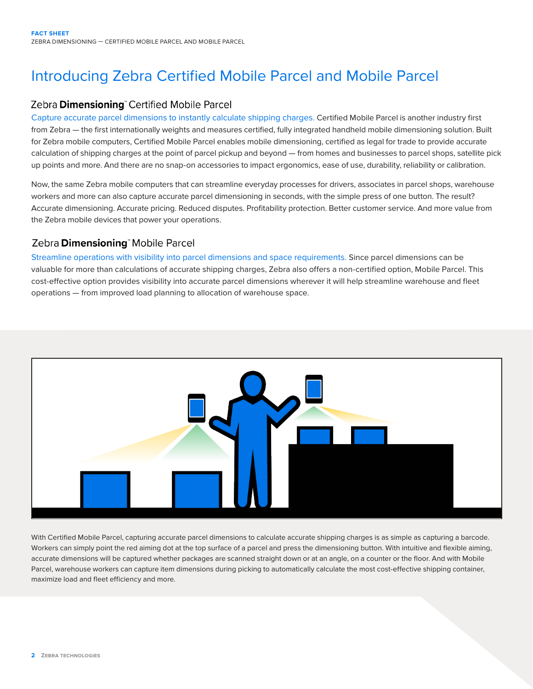# Introducing Zebra Certified Mobile Parcel and Mobile Parcel

## Zebra Dimensioning" Certified Mobile Parcel

Capture accurate parcel dimensions to instantly calculate shipping charges. Certified Mobile Parcel is another industry first from Zebra — the first internationally weights and measures certified, fully integrated handheld mobile dimensioning solution. Built for Zebra mobile computers, Certified Mobile Parcel enables mobile dimensioning, certified as legal for trade to provide accurate calculation of shipping charges at the point of parcel pickup and beyond — from homes and businesses to parcel shops, satellite pick up points and more. And there are no snap-on accessories to impact ergonomics, ease of use, durability, reliability or calibration.

Now, the same Zebra mobile computers that can streamline everyday processes for drivers, associates in parcel shops, warehouse workers and more can also capture accurate parcel dimensioning in seconds, with the simple press of one button. The result? Accurate dimensioning. Accurate pricing. Reduced disputes. Profitability protection. Better customer service. And more value from the Zebra mobile devices that power your operations.

## Zebra Dimensioning" Mobile Parcel

Streamline operations with visibility into parcel dimensions and space requirements. Since parcel dimensions can be valuable for more than calculations of accurate shipping charges, Zebra also offers a non-certified option, Mobile Parcel. This cost-effective option provides visibility into accurate parcel dimensions wherever it will help streamline warehouse and fleet operations — from improved load planning to allocation of warehouse space.



With Certified Mobile Parcel, capturing accurate parcel dimensions to calculate accurate shipping charges is as simple as capturing a barcode. Workers can simply point the red aiming dot at the top surface of a parcel and press the dimensioning button. With intuitive and flexible aiming, accurate dimensions will be captured whether packages are scanned straight down or at an angle, on a counter or the floor. And with Mobile Parcel, warehouse workers can capture item dimensions during picking to automatically calculate the most cost-effective shipping container, maximize load and fleet efficiency and more.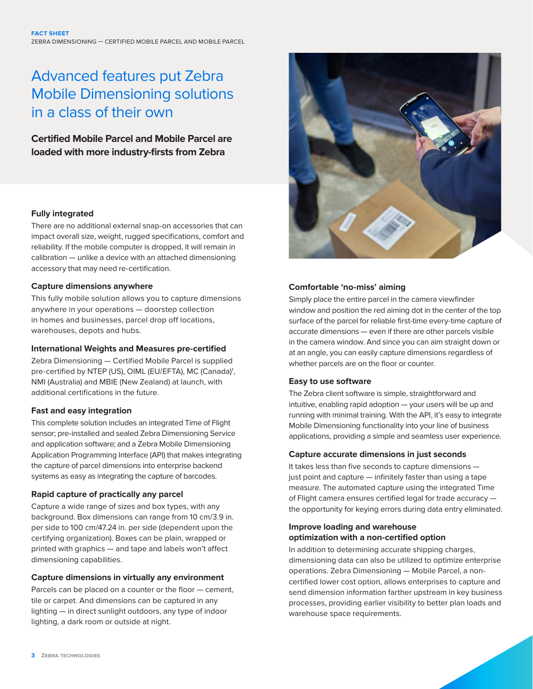# Advanced features put Zebra Mobile Dimensioning solutions in a class of their own

**Certified Mobile Parcel and Mobile Parcel are loaded with more industry-firsts from Zebra**

#### **Fully integrated**

There are no additional external snap-on accessories that can impact overall size, weight, rugged specifications, comfort and reliability. If the mobile computer is dropped, it will remain in calibration — unlike a device with an attached dimensioning accessory that may need re-certification.

#### **Capture dimensions anywhere**

This fully mobile solution allows you to capture dimensions anywhere in your operations — doorstep collection in homes and businesses, parcel drop off locations, warehouses, depots and hubs.

#### **International Weights and Measures pre-certified**

Zebra Dimensioning — Certified Mobile Parcel is supplied pre-certified by NTEP (US), OIML (EU/EFTA), MC (Canada)<sup>1</sup>, NMI (Australia) and MBIE (New Zealand) at launch, with additional certifications in the future.

#### **Fast and easy integration**

This complete solution includes an integrated Time of Flight sensor; pre-installed and sealed Zebra Dimensioning Service and application software; and a Zebra Mobile Dimensioning Application Programming Interface (API) that makes integrating the capture of parcel dimensions into enterprise backend systems as easy as integrating the capture of barcodes.

#### **Rapid capture of practically any parcel**

Capture a wide range of sizes and box types, with any background. Box dimensions can range from 10 cm/3.9 in. per side to 100 cm/47.24 in. per side (dependent upon the certifying organization). Boxes can be plain, wrapped or printed with graphics — and tape and labels won't affect dimensioning capabilities.

#### **Capture dimensions in virtually any environment**

Parcels can be placed on a counter or the floor — cement, tile or carpet. And dimensions can be captured in any lighting — in direct sunlight outdoors, any type of indoor lighting, a dark room or outside at night.



#### **Comfortable 'no-miss' aiming**

Simply place the entire parcel in the camera viewfinder window and position the red aiming dot in the center of the top surface of the parcel for reliable first-time every-time capture of accurate dimensions — even if there are other parcels visible in the camera window. And since you can aim straight down or at an angle, you can easily capture dimensions regardless of whether parcels are on the floor or counter.

#### **Easy to use software**

The Zebra client software is simple, straightforward and intuitive, enabling rapid adoption — your users will be up and running with minimal training. With the API, it's easy to integrate Mobile Dimensioning functionality into your line of business applications, providing a simple and seamless user experience.

#### **Capture accurate dimensions in just seconds**

It takes less than five seconds to capture dimensions just point and capture — infinitely faster than using a tape measure. The automated capture using the integrated Time of Flight camera ensures certified legal for trade accuracy the opportunity for keying errors during data entry eliminated.

#### **Improve loading and warehouse optimization with a non-certified option**

In addition to determining accurate shipping charges, dimensioning data can also be utilized to optimize enterprise operations. Zebra Dimensioning — Mobile Parcel, a noncertified lower cost option, allows enterprises to capture and send dimension information farther upstream in key business processes, providing earlier visibility to better plan loads and warehouse space requirements.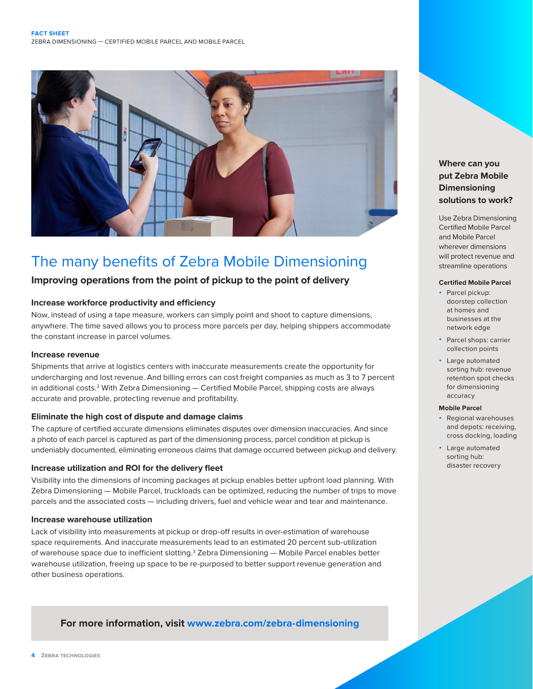

## The many benefits of Zebra Mobile Dimensioning

### **Improving operations from the point of pickup to the point of delivery**

#### **Increase workforce productivity and efficiency**

Now, instead of using a tape measure, workers can simply point and shoot to capture dimensions, anywhere. The time saved allows you to process more parcels per day, helping shippers accommodate the constant increase in parcel volumes.

#### **Increase revenue**

Shipments that arrive at logistics centers with inaccurate measurements create the opportunity for undercharging and lost revenue. And billing errors can cost freight companies as much as 3 to 7 percent in additional costs.<sup>2</sup> With Zebra Dimensioning — Certified Mobile Parcel, shipping costs are always accurate and provable, protecting revenue and profitability.

#### **Eliminate the high cost of dispute and damage claims**

The capture of certified accurate dimensions eliminates disputes over dimension inaccuracies. And since a photo of each parcel is captured as part of the dimensioning process, parcel condition at pickup is undeniably documented, eliminating erroneous claims that damage occurred between pickup and delivery.

#### **Increase utilization and ROI for the delivery fleet**

Visibility into the dimensions of incoming packages at pickup enables better upfront load planning. With Zebra Dimensioning — Mobile Parcel, truckloads can be optimized, reducing the number of trips to move parcels and the associated costs — including drivers, fuel and vehicle wear and tear and maintenance.

#### **Increase warehouse utilization**

Lack of visibility into measurements at pickup or drop-off results in over-estimation of warehouse space requirements. And inaccurate measurements lead to an estimated 20 percent sub-utilization of warehouse space due to inefficient slotting.<sup>3</sup> Zebra Dimensioning — Mobile Parcel enables better warehouse utilization, freeing up space to be re-purposed to better support revenue generation and other business operations.

### **For more information, visit www.zebra.com/zebra-dimensioning**

## **Where can you put Zebra Mobile Dimensioning solutions to work?**

Use Zebra Dimensioning Certified Mobile Parcel and Mobile Parcel wherever dimensions will protect revenue and streamline operations

#### **Certified Mobile Parcel**

- Parcel pickup: doorstep collection at homes and businesses at the network edge
- Parcel shops: carrier collection points
- Large automated sorting hub: revenue retention spot checks for dimensioning accuracy

#### **Mobile Parcel**

- Regional warehouses and depots: receiving, cross docking, loading
- Large automated sorting hub: disaster recovery